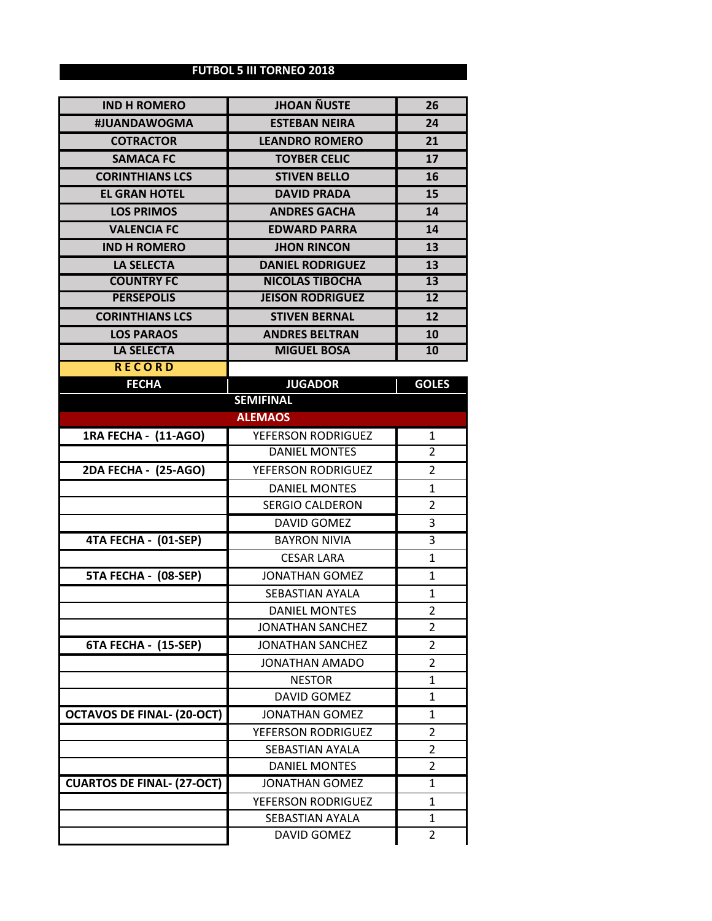## **FUTBOL 5 III TORNEO 2018**

| <b>IND H ROMERO</b>               | <b>JHOAN ÑUSTE</b>                              | 26                               |
|-----------------------------------|-------------------------------------------------|----------------------------------|
| #JUANDAWOGMA                      | <b>ESTEBAN NEIRA</b>                            | 24                               |
| <b>COTRACTOR</b>                  | <b>LEANDRO ROMERO</b>                           | 21                               |
| <b>SAMACA FC</b>                  | <b>TOYBER CELIC</b>                             | 17                               |
| <b>CORINTHIANS LCS</b>            | <b>STIVEN BELLO</b>                             | 16                               |
| <b>EL GRAN HOTEL</b>              | <b>DAVID PRADA</b>                              | 15                               |
| <b>LOS PRIMOS</b>                 | <b>ANDRES GACHA</b>                             | 14                               |
| <b>VALENCIA FC</b>                | <b>EDWARD PARRA</b>                             | 14                               |
| <b>IND H ROMERO</b>               | <b>JHON RINCON</b>                              | 13                               |
| <b>LA SELECTA</b>                 | <b>DANIEL RODRIGUEZ</b>                         | 13                               |
| <b>COUNTRY FC</b>                 | <b>NICOLAS TIBOCHA</b>                          | 13                               |
| <b>PERSEPOLIS</b>                 | <b>JEISON RODRIGUEZ</b>                         | 12                               |
| <b>CORINTHIANS LCS</b>            | <b>STIVEN BERNAL</b>                            | 12                               |
| <b>LOS PARAOS</b>                 | <b>ANDRES BELTRAN</b>                           | 10                               |
| <b>LA SELECTA</b>                 | <b>MIGUEL BOSA</b>                              | 10                               |
| <b>RECORD</b>                     |                                                 |                                  |
| <b>FECHA</b>                      | <b>JUGADOR</b>                                  | <b>GOLES</b>                     |
|                                   | <b>SEMIFINAL</b>                                |                                  |
|                                   | <b>ALEMAOS</b>                                  |                                  |
| 1RA FECHA - (11-AGO)              | YEFERSON RODRIGUEZ<br><b>DANIEL MONTES</b>      | 1                                |
|                                   |                                                 | $\overline{2}$                   |
| 2DA FECHA - (25-AGO)              | YEFERSON RODRIGUEZ                              | 2                                |
|                                   | <b>DANIEL MONTES</b>                            | 1                                |
|                                   | <b>SERGIO CALDERON</b>                          | 2                                |
|                                   | <b>DAVID GOMEZ</b>                              | 3                                |
| 4TA FECHA - (01-SEP)              | <b>BAYRON NIVIA</b>                             | 3                                |
|                                   | <b>CESAR LARA</b>                               | 1                                |
| 5TA FECHA - (08-SEP)              | <b>JONATHAN GOMEZ</b>                           | 1                                |
|                                   | SEBASTIAN AYALA                                 | $\mathbf{1}$                     |
|                                   | <b>DANIEL MONTES</b><br><b>JONATHAN SANCHEZ</b> | $\overline{2}$<br>$\overline{2}$ |
| <b>6TA FECHA - (15-SEP)</b>       | <b>JONATHAN SANCHEZ</b>                         | 2                                |
|                                   | JONATHAN AMADO                                  | 2                                |
|                                   | <b>NESTOR</b>                                   | 1                                |
|                                   | <b>DAVID GOMEZ</b>                              | 1                                |
| <b>OCTAVOS DE FINAL- (20-OCT)</b> | <b>JONATHAN GOMEZ</b>                           | 1                                |
|                                   | YEFERSON RODRIGUEZ                              | 2                                |
|                                   | <b>SEBASTIAN AYALA</b>                          | 2                                |
|                                   | <b>DANIEL MONTES</b>                            | 2                                |
| <b>CUARTOS DE FINAL- (27-OCT)</b> | <b>JONATHAN GOMEZ</b>                           | 1                                |
|                                   | YEFERSON RODRIGUEZ                              | 1                                |
|                                   | SEBASTIAN AYALA                                 | 1                                |
|                                   | DAVID GOMEZ                                     | 2                                |
|                                   |                                                 |                                  |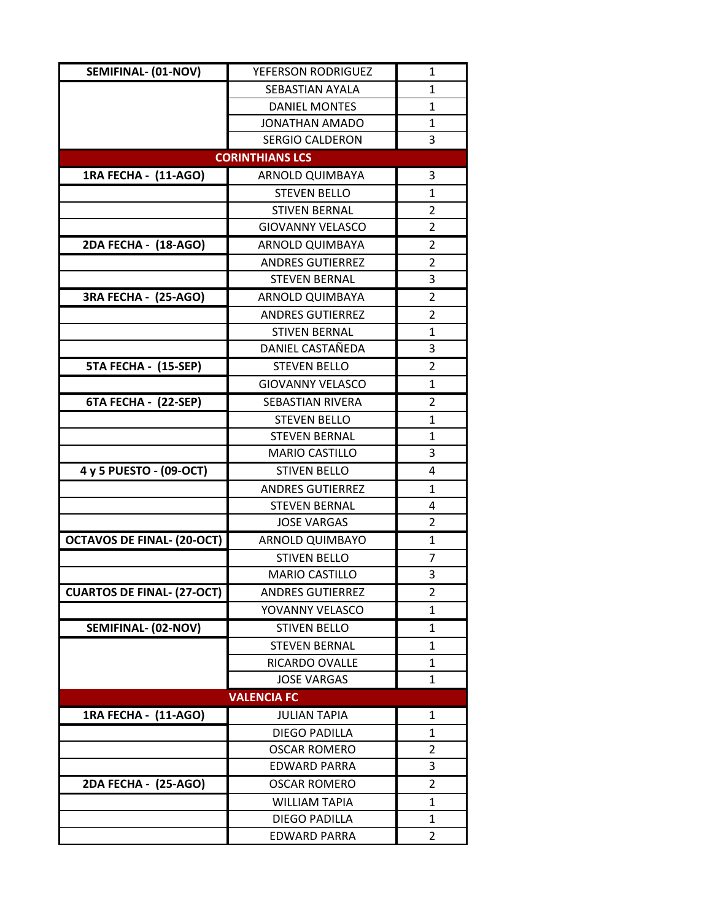| SEMIFINAL- (01-NOV)               | YEFERSON RODRIGUEZ      | 1            |
|-----------------------------------|-------------------------|--------------|
|                                   | SEBASTIAN AYALA         | $\mathbf{1}$ |
|                                   | <b>DANIEL MONTES</b>    | $\mathbf{1}$ |
|                                   | <b>JONATHAN AMADO</b>   | $\mathbf{1}$ |
|                                   | <b>SERGIO CALDERON</b>  | 3            |
|                                   | <b>CORINTHIANS LCS</b>  |              |
| 1RA FECHA - (11-AGO)              | ARNOLD QUIMBAYA         | 3            |
|                                   | <b>STEVEN BELLO</b>     | 1            |
|                                   | <b>STIVEN BERNAL</b>    | 2            |
|                                   | <b>GIOVANNY VELASCO</b> | 2            |
| 2DA FECHA - (18-AGO)              | ARNOLD QUIMBAYA         | 2            |
|                                   | <b>ANDRES GUTIERREZ</b> | 2            |
|                                   | <b>STEVEN BERNAL</b>    | 3            |
| <b>3RA FECHA - (25-AGO)</b>       | <b>ARNOLD QUIMBAYA</b>  | 2            |
|                                   | <b>ANDRES GUTIERREZ</b> | 2            |
|                                   | <b>STIVEN BERNAL</b>    | $\mathbf{1}$ |
|                                   | DANIEL CASTAÑEDA        | 3            |
| 5TA FECHA - (15-SEP)              | <b>STEVEN BELLO</b>     | 2            |
|                                   | <b>GIOVANNY VELASCO</b> | 1            |
| 6TA FECHA - (22-SEP)              | <b>SEBASTIAN RIVERA</b> | 2            |
|                                   | <b>STEVEN BELLO</b>     | 1            |
|                                   | <b>STEVEN BERNAL</b>    | $\mathbf{1}$ |
|                                   | <b>MARIO CASTILLO</b>   | 3            |
| 4 y 5 PUESTO - (09-OCT)           | <b>STIVEN BELLO</b>     | 4            |
|                                   | <b>ANDRES GUTIERREZ</b> | $\mathbf{1}$ |
|                                   | <b>STEVEN BERNAL</b>    | 4            |
|                                   | <b>JOSE VARGAS</b>      | 2            |
| <b>OCTAVOS DE FINAL- (20-OCT)</b> | <b>ARNOLD QUIMBAYO</b>  | 1            |
|                                   | <b>STIVEN BELLO</b>     | 7            |
|                                   | <b>MARIO CASTILLO</b>   | 3            |
| <b>CUARTOS DE FINAL- (27-OCT)</b> | <b>ANDRES GUTIERREZ</b> | 2            |
|                                   | YOVANNY VELASCO         | 1            |
| SEMIFINAL- (02-NOV)               | <b>STIVEN BELLO</b>     | 1            |
|                                   | <b>STEVEN BERNAL</b>    | $\mathbf{1}$ |
|                                   | RICARDO OVALLE          | 1            |
|                                   | <b>JOSE VARGAS</b>      | 1            |
|                                   | <b>VALENCIA FC</b>      |              |
| 1RA FECHA - (11-AGO)              | <b>JULIAN TAPIA</b>     | 1            |
|                                   | DIEGO PADILLA           | 1            |
|                                   | <b>OSCAR ROMERO</b>     | 2            |
|                                   | EDWARD PARRA            | 3            |
| 2DA FECHA - (25-AGO)              | <b>OSCAR ROMERO</b>     | 2            |
|                                   | <b>WILLIAM TAPIA</b>    | 1            |
|                                   | <b>DIEGO PADILLA</b>    | 1            |
|                                   | <b>EDWARD PARRA</b>     | 2            |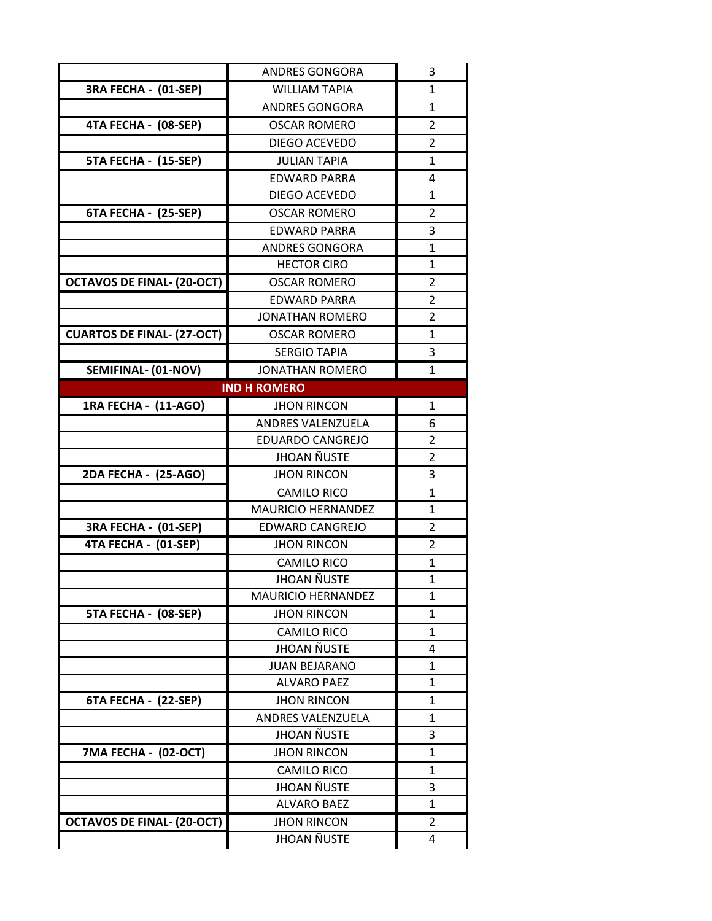|                                   | <b>ANDRES GONGORA</b>                           | 3                 |
|-----------------------------------|-------------------------------------------------|-------------------|
| 3RA FECHA - (01-SEP)              | <b>WILLIAM TAPIA</b>                            | 1                 |
|                                   | <b>ANDRES GONGORA</b>                           | $\mathbf{1}$      |
| 4TA FECHA - (08-SEP)              | <b>OSCAR ROMERO</b>                             | 2                 |
|                                   | DIEGO ACEVEDO                                   | 2                 |
| 5TA FECHA - (15-SEP)              | <b>JULIAN TAPIA</b>                             | $\mathbf{1}$      |
|                                   | <b>EDWARD PARRA</b>                             | 4                 |
|                                   | DIEGO ACEVEDO                                   | $\mathbf{1}$      |
| 6TA FECHA - (25-SEP)              | <b>OSCAR ROMERO</b>                             | $\overline{2}$    |
|                                   | <b>EDWARD PARRA</b>                             | 3                 |
|                                   | <b>ANDRES GONGORA</b>                           | 1                 |
|                                   | <b>HECTOR CIRO</b>                              | $\mathbf{1}$      |
| <b>OCTAVOS DE FINAL- (20-OCT)</b> | <b>OSCAR ROMERO</b>                             | 2                 |
|                                   | <b>EDWARD PARRA</b>                             | 2                 |
|                                   | <b>JONATHAN ROMERO</b>                          | $\overline{2}$    |
| <b>CUARTOS DE FINAL- (27-OCT)</b> | <b>OSCAR ROMERO</b>                             | 1                 |
|                                   | <b>SERGIO TAPIA</b>                             | 3                 |
| SEMIFINAL- (01-NOV)               | <b>JONATHAN ROMERO</b>                          | 1                 |
|                                   | <b>IND H ROMERO</b>                             |                   |
| 1RA FECHA - (11-AGO)              | <b>JHON RINCON</b>                              | 1                 |
|                                   | <b>ANDRES VALENZUELA</b>                        | 6                 |
|                                   | <b>EDUARDO CANGREJO</b>                         | 2                 |
|                                   | <b>JHOAN ÑUSTE</b>                              | $\overline{2}$    |
| 2DA FECHA - (25-AGO)              | <b>JHON RINCON</b>                              | 3                 |
|                                   | <b>CAMILO RICO</b>                              | 1                 |
|                                   | <b>MAURICIO HERNANDEZ</b>                       | $\mathbf{1}$      |
| 3RA FECHA - (01-SEP)              | <b>EDWARD CANGREJO</b>                          | $\overline{2}$    |
| 4TA FECHA - (01-SEP)              | <b>JHON RINCON</b>                              | 2                 |
|                                   | <b>CAMILO RICO</b>                              | 1                 |
|                                   | JHOAN ÑUSTE                                     | 1                 |
|                                   | <b>MAURICIO HERNANDEZ</b><br><b>JHON RINCON</b> | $\mathbf{1}$      |
| 5TA FECHA - (08-SEP)              |                                                 | 1                 |
|                                   | <b>CAMILO RICO</b><br><b>JHOAN ÑUSTE</b>        | $\mathbf{1}$<br>4 |
|                                   | <b>JUAN BEJARANO</b>                            | 1                 |
|                                   | <b>ALVARO PAEZ</b>                              | 1                 |
| 6TA FECHA - (22-SEP)              | <b>JHON RINCON</b>                              | $\mathbf{1}$      |
|                                   | ANDRES VALENZUELA                               | 1                 |
|                                   | <b>JHOAN ÑUSTE</b>                              | 3                 |
| 7MA FECHA - (02-OCT)              | <b>JHON RINCON</b>                              | 1                 |
|                                   | <b>CAMILO RICO</b>                              | $\mathbf{1}$      |
|                                   | JHOAN ÑUSTE                                     | 3                 |
|                                   | <b>ALVARO BAEZ</b>                              | $\mathbf 1$       |
| <b>OCTAVOS DE FINAL- (20-OCT)</b> | <b>JHON RINCON</b>                              | $\overline{2}$    |
|                                   | <b>JHOAN ÑUSTE</b>                              | 4                 |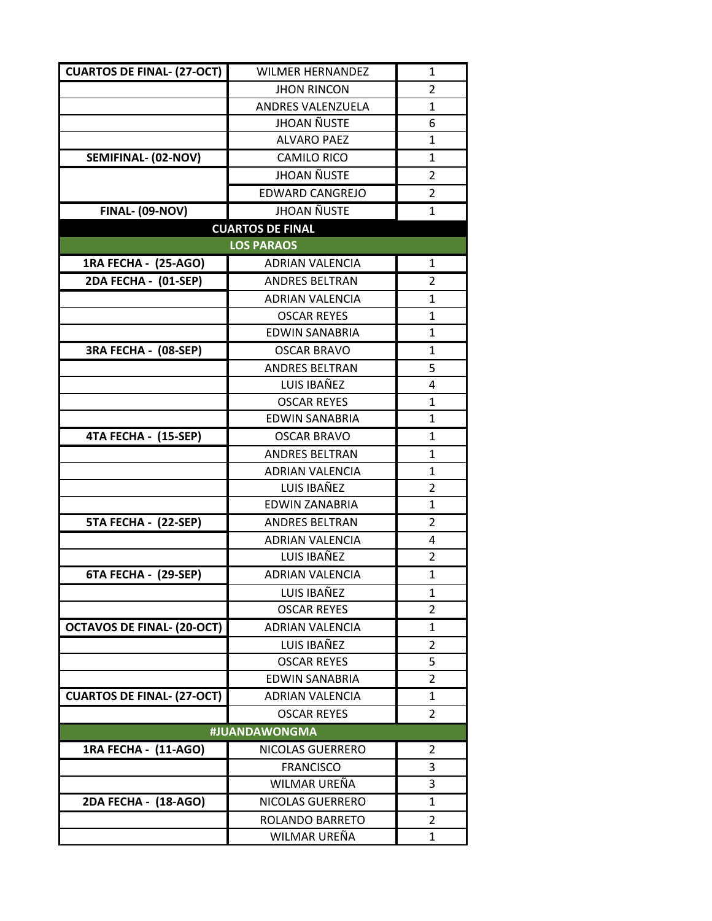| <b>CUARTOS DE FINAL- (27-OCT)</b> | <b>WILMER HERNANDEZ</b>  | 1              |
|-----------------------------------|--------------------------|----------------|
|                                   | <b>JHON RINCON</b>       | 2              |
|                                   | <b>ANDRES VALENZUELA</b> | $\mathbf{1}$   |
|                                   | <b>JHOAN ÑUSTE</b>       | 6              |
|                                   | <b>ALVARO PAEZ</b>       | $\mathbf{1}$   |
| SEMIFINAL- (02-NOV)               | <b>CAMILO RICO</b>       | $\mathbf{1}$   |
|                                   | <b>JHOAN ÑUSTE</b>       | 2              |
|                                   | <b>EDWARD CANGREJO</b>   | $\overline{2}$ |
| <b>FINAL- (09-NOV)</b>            | <b>JHOAN ÑUSTE</b>       | 1              |
|                                   | <b>CUARTOS DE FINAL</b>  |                |
|                                   | <b>LOS PARAOS</b>        |                |
| 1RA FECHA - (25-AGO)              | <b>ADRIAN VALENCIA</b>   | 1              |
| 2DA FECHA - (01-SEP)              | <b>ANDRES BELTRAN</b>    | 2              |
|                                   | <b>ADRIAN VALENCIA</b>   | 1              |
|                                   | <b>OSCAR REYES</b>       | 1              |
|                                   | <b>EDWIN SANABRIA</b>    | 1              |
| 3RA FECHA - (08-SEP)              | <b>OSCAR BRAVO</b>       | 1              |
|                                   | <b>ANDRES BELTRAN</b>    | 5              |
|                                   | LUIS IBAÑEZ              | 4              |
|                                   | <b>OSCAR REYES</b>       | $\mathbf{1}$   |
|                                   | <b>EDWIN SANABRIA</b>    | 1              |
| 4TA FECHA - (15-SEP)              | <b>OSCAR BRAVO</b>       | 1              |
|                                   | <b>ANDRES BELTRAN</b>    | $\mathbf{1}$   |
|                                   | <b>ADRIAN VALENCIA</b>   | 1              |
|                                   | LUIS IBAÑEZ              | 2              |
|                                   | <b>EDWIN ZANABRIA</b>    | $\mathbf{1}$   |
| 5TA FECHA - (22-SEP)              | <b>ANDRES BELTRAN</b>    | 2              |
|                                   | <b>ADRIAN VALENCIA</b>   | 4              |
|                                   | LUIS IBAÑEZ              | $\overline{2}$ |
| 6TA FECHA - (29-SEP)              | <b>ADRIAN VALENCIA</b>   | $\mathbf{1}$   |
|                                   | LUIS IBAÑEZ              | 1              |
|                                   | <b>OSCAR REYES</b>       | 2              |
| <b>OCTAVOS DE FINAL- (20-OCT)</b> | <b>ADRIAN VALENCIA</b>   | 1              |
|                                   | LUIS IBAÑEZ              | 2              |
|                                   | <b>OSCAR REYES</b>       | 5              |
|                                   | <b>EDWIN SANABRIA</b>    | 2              |
| <b>CUARTOS DE FINAL- (27-OCT)</b> | <b>ADRIAN VALENCIA</b>   | 1              |
|                                   | <b>OSCAR REYES</b>       | $\overline{2}$ |
|                                   | #JUANDAWONGMA            |                |
| 1RA FECHA - (11-AGO)              | <b>NICOLAS GUERRERO</b>  | 2              |
|                                   | <b>FRANCISCO</b>         | 3              |
|                                   | WILMAR UREÑA             | 3              |
| 2DA FECHA - (18-AGO)              | NICOLAS GUERRERO         | 1              |
|                                   | ROLANDO BARRETO          | 2              |
|                                   | WILMAR UREÑA             | 1              |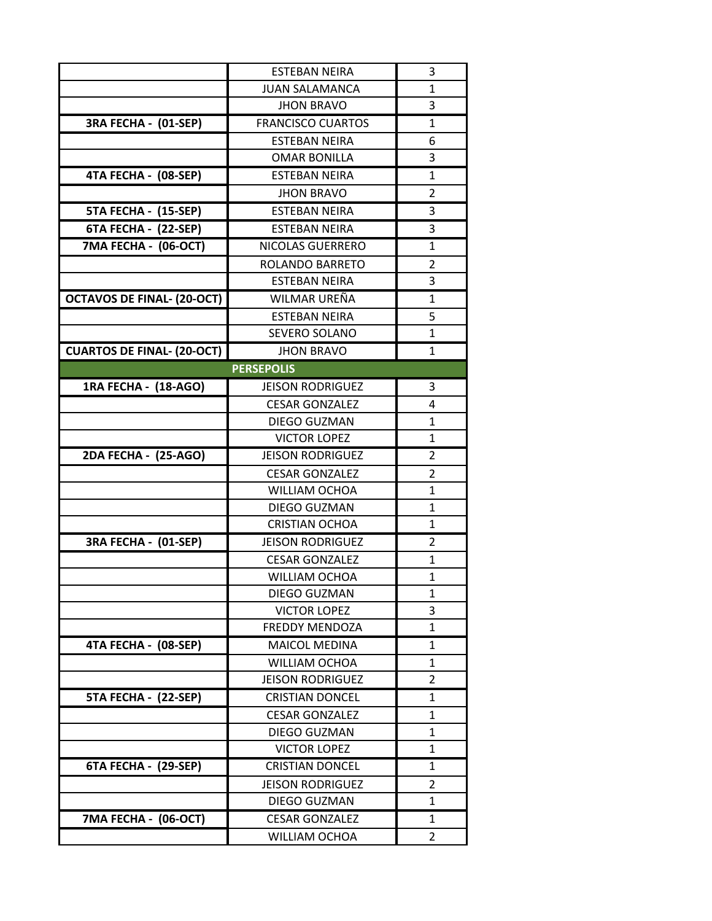|                                   | <b>ESTEBAN NEIRA</b>     | 3              |
|-----------------------------------|--------------------------|----------------|
|                                   | <b>JUAN SALAMANCA</b>    | $\mathbf{1}$   |
|                                   | <b>JHON BRAVO</b>        | 3              |
| 3RA FECHA - (01-SEP)              | <b>FRANCISCO CUARTOS</b> | $\mathbf{1}$   |
|                                   | <b>ESTEBAN NEIRA</b>     | 6              |
|                                   | <b>OMAR BONILLA</b>      | 3              |
| 4TA FECHA - (08-SEP)              | <b>ESTEBAN NEIRA</b>     | 1              |
|                                   | <b>JHON BRAVO</b>        | 2              |
| 5TA FECHA - (15-SEP)              | <b>ESTEBAN NEIRA</b>     | 3              |
| 6TA FECHA - (22-SEP)              | <b>ESTEBAN NEIRA</b>     | 3              |
| 7MA FECHA - (06-OCT)              | <b>NICOLAS GUERRERO</b>  | $\mathbf{1}$   |
|                                   | ROLANDO BARRETO          | 2              |
|                                   | <b>ESTEBAN NEIRA</b>     | 3              |
| <b>OCTAVOS DE FINAL- (20-OCT)</b> | WILMAR UREÑA             | 1              |
|                                   | <b>ESTEBAN NEIRA</b>     | 5              |
|                                   | SEVERO SOLANO            | 1              |
| <b>CUARTOS DE FINAL- (20-OCT)</b> | <b>JHON BRAVO</b>        | 1              |
|                                   | <b>PERSEPOLIS</b>        |                |
| 1RA FECHA - (18-AGO)              | <b>JEISON RODRIGUEZ</b>  | 3              |
|                                   | <b>CESAR GONZALEZ</b>    | 4              |
|                                   | DIEGO GUZMAN             | 1              |
|                                   | <b>VICTOR LOPEZ</b>      | 1              |
| 2DA FECHA - (25-AGO)              | <b>JEISON RODRIGUEZ</b>  | 2              |
|                                   | <b>CESAR GONZALEZ</b>    | 2              |
|                                   | <b>WILLIAM OCHOA</b>     | 1              |
|                                   | DIEGO GUZMAN             | 1              |
|                                   | <b>CRISTIAN OCHOA</b>    | 1              |
| 3RA FECHA - (01-SEP)              | <b>JEISON RODRIGUEZ</b>  | 2              |
|                                   | <b>CESAR GONZALEZ</b>    | 1              |
|                                   | <b>WILLIAM OCHOA</b>     | $\mathbf{1}$   |
|                                   | DIEGO GUZMAN             | 1              |
|                                   | <b>VICTOR LOPEZ</b>      | 3              |
|                                   | <b>FREDDY MENDOZA</b>    | 1              |
| 4TA FECHA - (08-SEP)              | <b>MAICOL MEDINA</b>     | 1              |
|                                   | <b>WILLIAM OCHOA</b>     | 1              |
|                                   | <b>JEISON RODRIGUEZ</b>  | $\overline{2}$ |
| 5TA FECHA - (22-SEP)              | <b>CRISTIAN DONCEL</b>   | $\mathbf{1}$   |
|                                   | <b>CESAR GONZALEZ</b>    | $\mathbf{1}$   |
|                                   | <b>DIEGO GUZMAN</b>      | 1              |
|                                   | <b>VICTOR LOPEZ</b>      | 1              |
| 6TA FECHA - (29-SEP)              | <b>CRISTIAN DONCEL</b>   | 1              |
|                                   | <b>JEISON RODRIGUEZ</b>  | 2              |
|                                   | <b>DIEGO GUZMAN</b>      | 1              |
| 7MA FECHA - (06-OCT)              | <b>CESAR GONZALEZ</b>    | 1              |
|                                   | <b>WILLIAM OCHOA</b>     | 2              |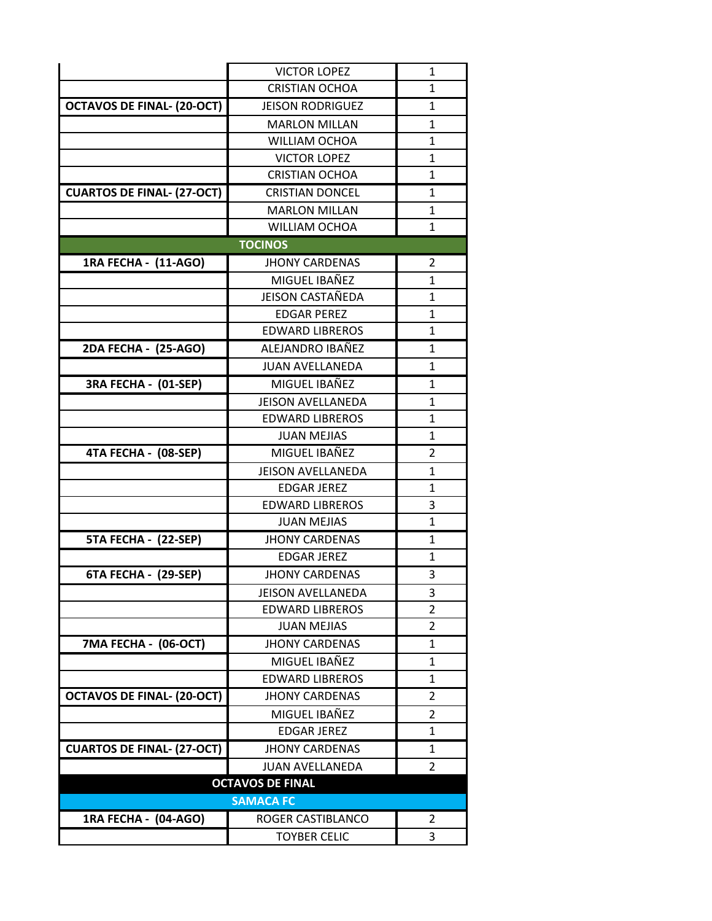|                                   | <b>VICTOR LOPEZ</b>      | $\mathbf{1}$   |
|-----------------------------------|--------------------------|----------------|
|                                   | <b>CRISTIAN OCHOA</b>    | 1              |
| <b>OCTAVOS DE FINAL- (20-OCT)</b> | <b>JEISON RODRIGUEZ</b>  | 1              |
|                                   | <b>MARLON MILLAN</b>     | 1              |
|                                   | <b>WILLIAM OCHOA</b>     | 1              |
|                                   | <b>VICTOR LOPEZ</b>      | 1              |
|                                   | <b>CRISTIAN OCHOA</b>    | $\mathbf{1}$   |
| <b>CUARTOS DE FINAL- (27-OCT)</b> | <b>CRISTIAN DONCEL</b>   | 1              |
|                                   | <b>MARLON MILLAN</b>     | 1              |
|                                   | WILLIAM OCHOA            | $\mathbf{1}$   |
|                                   | <b>TOCINOS</b>           |                |
| 1RA FECHA - (11-AGO)              | <b>JHONY CARDENAS</b>    | $\overline{2}$ |
|                                   | MIGUEL IBAÑEZ            | 1              |
|                                   | <b>JEISON CASTAÑEDA</b>  | 1              |
|                                   | <b>FDGAR PFRFZ</b>       | $\mathbf{1}$   |
|                                   | <b>EDWARD LIBREROS</b>   | $\mathbf{1}$   |
| 2DA FECHA - (25-AGO)              | ALEJANDRO IBAÑEZ         | 1              |
|                                   | <b>JUAN AVELLANEDA</b>   | $\mathbf{1}$   |
| 3RA FECHA - (01-SEP)              | MIGUEL IBAÑEZ            | $\mathbf{1}$   |
|                                   | <b>JEISON AVELLANEDA</b> | $\mathbf{1}$   |
|                                   | <b>EDWARD LIBREROS</b>   | $\mathbf{1}$   |
|                                   | <b>JUAN MEJIAS</b>       | $\mathbf{1}$   |
| 4TA FECHA - (08-SEP)              | MIGUEL IBAÑEZ            | 2              |
|                                   | <b>JEISON AVELLANEDA</b> | $\mathbf{1}$   |
|                                   | <b>EDGAR JEREZ</b>       | 1              |
|                                   | <b>EDWARD LIBREROS</b>   | 3              |
|                                   | <b>JUAN MEJIAS</b>       | $\mathbf{1}$   |
| 5TA FECHA - (22-SEP)              | <b>JHONY CARDENAS</b>    | $\mathbf{1}$   |
|                                   | <b>EDGAR JEREZ</b>       | 1              |
| 6TA FECHA - (29-SEP)              | <b>JHONY CARDENAS</b>    | 3              |
|                                   | <b>JEISON AVELLANEDA</b> | 3              |
|                                   | <b>EDWARD LIBREROS</b>   | 2              |
|                                   | <b>JUAN MEJIAS</b>       | 2              |
| 7MA FECHA - (06-OCT)              | <b>JHONY CARDENAS</b>    | $\mathbf{1}$   |
|                                   | MIGUEL IBAÑEZ            | $\mathbf{1}$   |
|                                   | <b>EDWARD LIBREROS</b>   | $\mathbf{1}$   |
| <b>OCTAVOS DE FINAL- (20-OCT)</b> | <b>JHONY CARDENAS</b>    | 2              |
|                                   | MIGUEL IBAÑEZ            | 2              |
|                                   | <b>EDGAR JEREZ</b>       | 1              |
| <b>CUARTOS DE FINAL- (27-OCT)</b> | <b>JHONY CARDENAS</b>    | 1              |
|                                   | <b>JUAN AVELLANEDA</b>   | $\overline{2}$ |
| <b>OCTAVOS DE FINAL</b>           |                          |                |
|                                   | <b>SAMACA FC</b>         |                |
| 1RA FECHA - (04-AGO)              | ROGER CASTIBLANCO        | 2              |
|                                   | <b>TOYBER CELIC</b>      | 3              |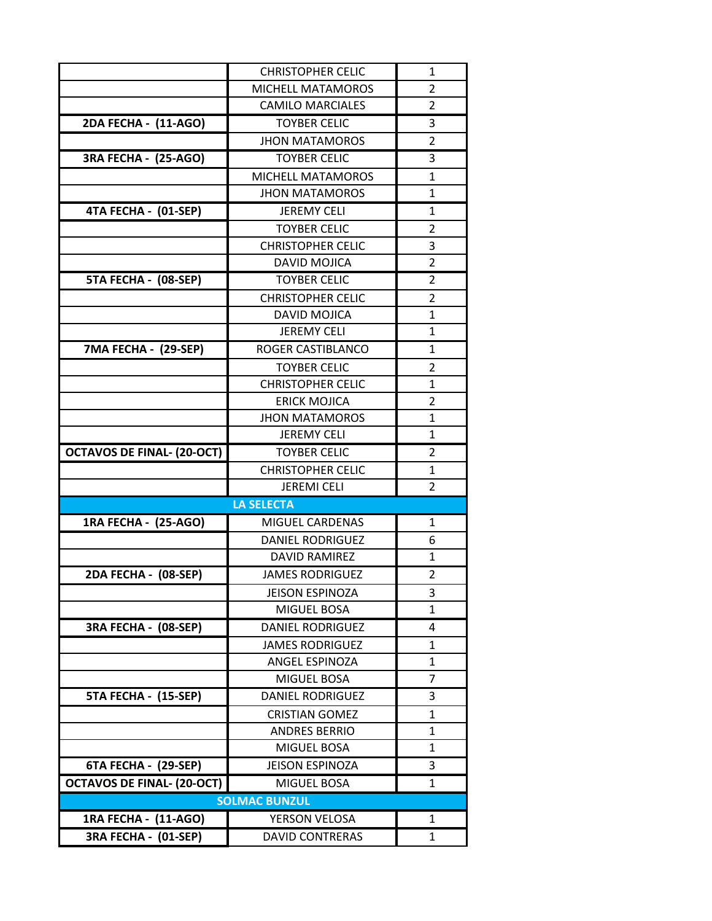|                                              | <b>CHRISTOPHER CELIC</b>                       | 1              |
|----------------------------------------------|------------------------------------------------|----------------|
|                                              | MICHELL MATAMOROS                              | 2              |
|                                              | <b>CAMILO MARCIALES</b>                        | $\overline{2}$ |
| 2DA FECHA - (11-AGO)                         | <b>TOYBER CELIC</b>                            | 3              |
|                                              | <b>JHON MATAMOROS</b>                          | $\overline{2}$ |
| 3RA FECHA - (25-AGO)                         | <b>TOYBER CELIC</b>                            | 3              |
|                                              | <b>MICHELL MATAMOROS</b>                       | $\mathbf{1}$   |
|                                              | <b>JHON MATAMOROS</b>                          | $\mathbf{1}$   |
| 4TA FECHA - (01-SEP)                         | <b>JEREMY CELI</b>                             | 1              |
|                                              | <b>TOYBER CELIC</b>                            | 2              |
|                                              | <b>CHRISTOPHER CELIC</b>                       | 3              |
|                                              | <b>DAVID MOJICA</b>                            | $\overline{2}$ |
| 5TA FECHA - (08-SEP)                         | <b>TOYBER CELIC</b>                            | 2              |
|                                              | <b>CHRISTOPHER CELIC</b>                       | 2              |
|                                              | <b>DAVID MOJICA</b>                            | 1              |
|                                              | <b>JEREMY CELI</b>                             | $\mathbf{1}$   |
| 7MA FECHA - (29-SEP)                         | ROGER CASTIBLANCO                              | 1              |
|                                              | <b>TOYBER CELIC</b>                            | $\overline{2}$ |
|                                              | <b>CHRISTOPHER CELIC</b>                       | 1              |
|                                              | <b>ERICK MOJICA</b>                            | $\overline{2}$ |
|                                              | <b>JHON MATAMOROS</b>                          | 1              |
|                                              | <b>JEREMY CELI</b>                             | $\mathbf{1}$   |
| <b>OCTAVOS DE FINAL- (20-OCT)</b>            | <b>TOYBER CELIC</b>                            | 2              |
|                                              | <b>CHRISTOPHER CELIC</b>                       | 1              |
|                                              | <b>JEREMI CELI</b>                             | $\overline{2}$ |
|                                              | <b>LA SELECTA</b>                              |                |
| 1RA FECHA - (25-AGO)                         | <b>MIGUEL CARDENAS</b>                         | $\mathbf{1}$   |
|                                              | <b>DANIEL RODRIGUEZ</b>                        | 6              |
|                                              | <b>DAVID RAMIREZ</b>                           | $\mathbf{1}$   |
| 2DA FECHA - (08-SEP)                         | <b>JAMES RODRIGUEZ</b>                         | 2              |
|                                              | <b>JEISON ESPINOZA</b>                         | 3              |
|                                              |                                                |                |
| 3RA FECHA - (08-SEP)                         | MIGUEL BOSA                                    | 1              |
|                                              | DANIEL RODRIGUEZ                               | 4              |
|                                              | <b>JAMES RODRIGUEZ</b>                         | 1              |
|                                              | ANGEL ESPINOZA                                 | 1              |
|                                              | MIGUEL BOSA                                    | 7              |
| 5TA FECHA - (15-SEP)                         | <b>DANIEL RODRIGUEZ</b>                        | 3              |
|                                              | <b>CRISTIAN GOMEZ</b>                          | 1              |
|                                              | <b>ANDRES BERRIO</b>                           | 1              |
|                                              | MIGUEL BOSA                                    | 1              |
| 6TA FECHA - (29-SEP)                         | JEISON ESPINOZA                                | 3              |
| <b>OCTAVOS DE FINAL- (20-OCT)</b>            | MIGUEL BOSA                                    | 1              |
|                                              | <b>SOLMAC BUNZUL</b>                           |                |
| 1RA FECHA - (11-AGO)<br>3RA FECHA - (01-SEP) | <b>YERSON VELOSA</b><br><b>DAVID CONTRERAS</b> | 1<br>1         |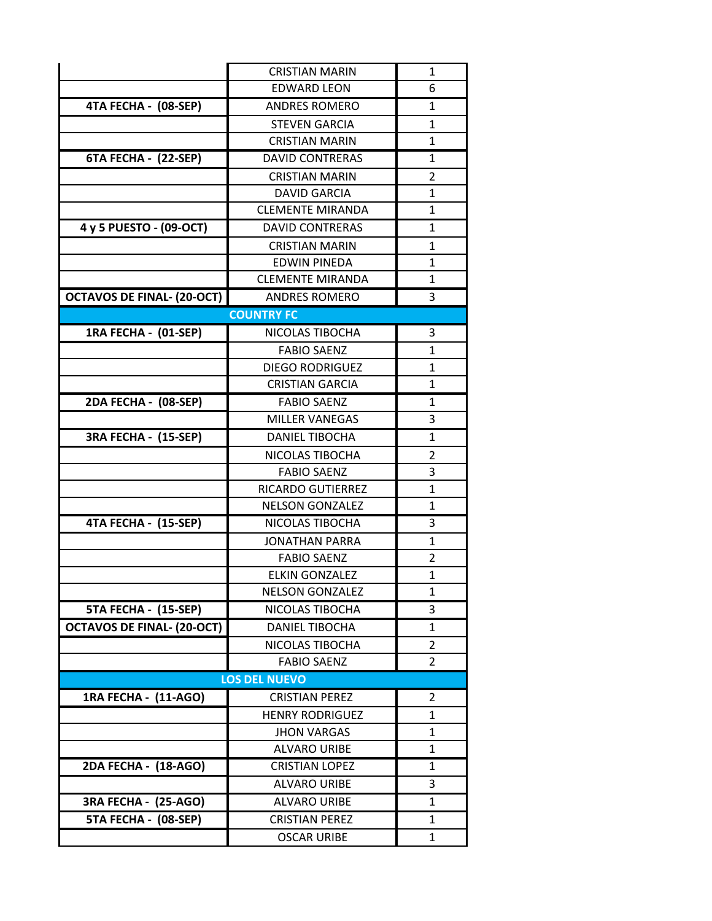|                                   | <b>CRISTIAN MARIN</b>    | $\mathbf{1}$   |
|-----------------------------------|--------------------------|----------------|
|                                   | <b>EDWARD LEON</b>       | 6              |
| 4TA FECHA - (08-SEP)              | <b>ANDRES ROMERO</b>     | 1              |
|                                   | <b>STEVEN GARCIA</b>     | $\mathbf{1}$   |
|                                   | <b>CRISTIAN MARIN</b>    | $\mathbf{1}$   |
| 6TA FECHA - (22-SEP)              | <b>DAVID CONTRERAS</b>   | 1              |
|                                   | <b>CRISTIAN MARIN</b>    | $\overline{2}$ |
|                                   | <b>DAVID GARCIA</b>      | $\mathbf{1}$   |
|                                   | <b>CLEMENTE MIRANDA</b>  | $\mathbf{1}$   |
| 4 y 5 PUESTO - (09-OCT)           | <b>DAVID CONTRERAS</b>   | 1              |
|                                   | <b>CRISTIAN MARIN</b>    | $\mathbf{1}$   |
|                                   | <b>EDWIN PINEDA</b>      | 1              |
|                                   | <b>CLEMENTE MIRANDA</b>  | 1              |
| <b>OCTAVOS DE FINAL- (20-OCT)</b> | <b>ANDRES ROMERO</b>     | 3              |
|                                   | <b>COUNTRY FC</b>        |                |
| 1RA FECHA - (01-SEP)              | NICOLAS TIBOCHA          | 3              |
|                                   | <b>FABIO SAENZ</b>       | $\mathbf{1}$   |
|                                   | <b>DIEGO RODRIGUEZ</b>   | $\mathbf{1}$   |
|                                   | <b>CRISTIAN GARCIA</b>   | $\mathbf{1}$   |
| 2DA FECHA - (08-SEP)              | <b>FABIO SAENZ</b>       | $\mathbf{1}$   |
|                                   | <b>MILLER VANEGAS</b>    | 3              |
| 3RA FECHA - (15-SEP)              | <b>DANIEL TIBOCHA</b>    | 1              |
|                                   | NICOLAS TIBOCHA          | 2              |
|                                   | <b>FABIO SAENZ</b>       | 3              |
|                                   | <b>RICARDO GUTIERREZ</b> | 1              |
|                                   | <b>NELSON GONZALEZ</b>   | $\mathbf{1}$   |
| 4TA FECHA - (15-SEP)              | NICOLAS TIBOCHA          | 3              |
|                                   | <b>JONATHAN PARRA</b>    | $\mathbf{1}$   |
|                                   | <b>FABIO SAENZ</b>       | $\overline{2}$ |
|                                   | <b>ELKIN GONZALEZ</b>    | $\mathbf{1}$   |
|                                   | <b>NELSON GONZALEZ</b>   | 1              |
| 5TA FECHA - (15-SEP)              | NICOLAS TIBOCHA          | 3              |
| <b>OCTAVOS DE FINAL- (20-OCT)</b> | <b>DANIEL TIBOCHA</b>    | 1              |
|                                   | NICOLAS TIBOCHA          | 2              |
|                                   | <b>FABIO SAENZ</b>       | $\overline{2}$ |
|                                   | <b>LOS DEL NUEVO</b>     |                |
| 1RA FECHA - (11-AGO)              | <b>CRISTIAN PEREZ</b>    | 2              |
|                                   | <b>HENRY RODRIGUEZ</b>   | 1              |
|                                   | <b>JHON VARGAS</b>       | 1              |
|                                   | <b>ALVARO URIBE</b>      | 1              |
| 2DA FECHA - (18-AGO)              | <b>CRISTIAN LOPEZ</b>    | 1              |
|                                   | <b>ALVARO URIBE</b>      | 3              |
| 3RA FECHA - (25-AGO)              | <b>ALVARO URIBE</b>      | 1              |
| 5TA FECHA - (08-SEP)              | <b>CRISTIAN PEREZ</b>    | 1              |
|                                   | <b>OSCAR URIBE</b>       | 1              |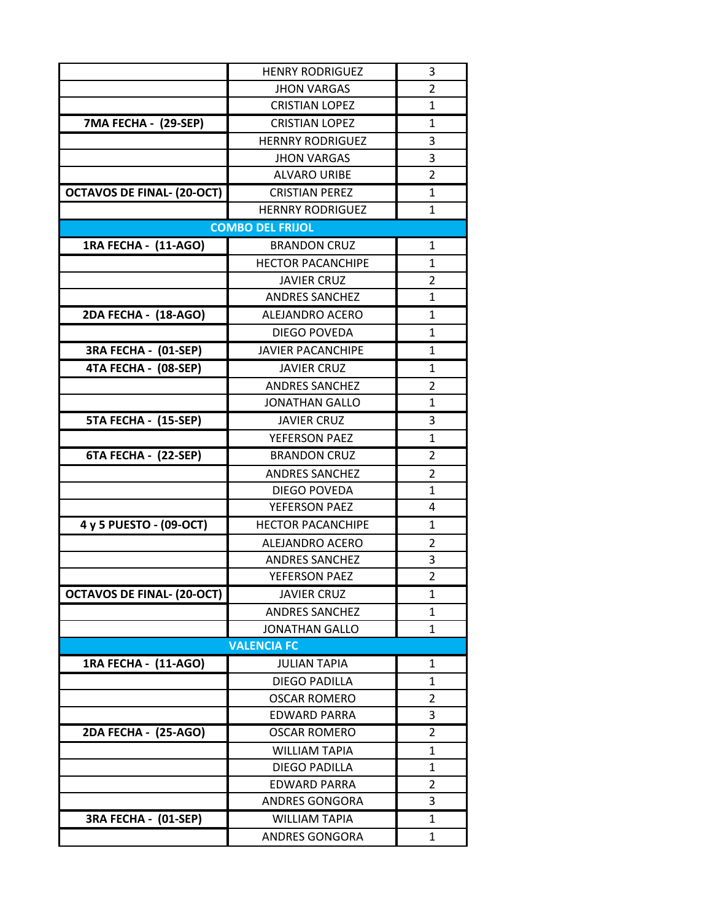|                                   | <b>HENRY RODRIGUEZ</b>   | 3              |
|-----------------------------------|--------------------------|----------------|
|                                   | <b>JHON VARGAS</b>       | 2              |
|                                   | <b>CRISTIAN LOPEZ</b>    | $\mathbf{1}$   |
| 7MA FECHA - (29-SEP)              | <b>CRISTIAN LOPEZ</b>    | $\mathbf{1}$   |
|                                   | <b>HERNRY RODRIGUEZ</b>  | 3              |
|                                   | <b>JHON VARGAS</b>       | 3              |
|                                   | <b>ALVARO URIBE</b>      | $\overline{2}$ |
| <b>OCTAVOS DE FINAL- (20-OCT)</b> | <b>CRISTIAN PEREZ</b>    | $\mathbf{1}$   |
|                                   | <b>HERNRY RODRIGUEZ</b>  | $\mathbf{1}$   |
|                                   | <b>COMBO DEL FRIJOL</b>  |                |
| 1RA FECHA - (11-AGO)              | <b>BRANDON CRUZ</b>      | 1              |
|                                   | <b>HECTOR PACANCHIPE</b> | $\mathbf{1}$   |
|                                   | <b>JAVIER CRUZ</b>       | 2              |
|                                   | <b>ANDRES SANCHEZ</b>    | $\mathbf{1}$   |
| 2DA FECHA - (18-AGO)              | <b>ALEJANDRO ACERO</b>   | 1              |
|                                   | DIEGO POVEDA             | $\mathbf{1}$   |
| 3RA FECHA - (01-SEP)              | <b>JAVIER PACANCHIPE</b> | 1              |
| 4TA FECHA - (08-SEP)              | <b>JAVIER CRUZ</b>       | 1              |
|                                   | <b>ANDRES SANCHEZ</b>    | $\overline{2}$ |
|                                   | <b>JONATHAN GALLO</b>    | $\mathbf{1}$   |
| 5TA FECHA - (15-SEP)              | <b>JAVIER CRUZ</b>       | 3              |
|                                   | YEFERSON PAEZ            | 1              |
| 6TA FECHA - (22-SEP)              | <b>BRANDON CRUZ</b>      | 2              |
|                                   | <b>ANDRES SANCHEZ</b>    | 2              |
|                                   | DIEGO POVEDA             | $\mathbf{1}$   |
|                                   | YEFERSON PAEZ            | 4              |
| 4 y 5 PUESTO - (09-OCT)           | <b>HECTOR PACANCHIPE</b> | 1              |
|                                   | <b>ALEJANDRO ACERO</b>   | $\overline{2}$ |
|                                   | <b>ANDRES SANCHEZ</b>    | 3              |
|                                   | YEFERSON PAEZ            | $\overline{2}$ |
| <b>OCTAVOS DE FINAL- (20-OCT)</b> | <b>JAVIER CRUZ</b>       | 1              |
|                                   | <b>ANDRES SANCHEZ</b>    | 1              |
|                                   | <b>JONATHAN GALLO</b>    | 1              |
|                                   | <b>VALENCIA FC</b>       |                |
| 1RA FECHA - (11-AGO)              | <b>JULIAN TAPIA</b>      | 1              |
|                                   | <b>DIEGO PADILLA</b>     | 1              |
|                                   | <b>OSCAR ROMERO</b>      | 2              |
|                                   | <b>EDWARD PARRA</b>      | 3              |
| 2DA FECHA - (25-AGO)              | <b>OSCAR ROMERO</b>      | 2              |
|                                   | <b>WILLIAM TAPIA</b>     | $\mathbf{1}$   |
|                                   | <b>DIEGO PADILLA</b>     | 1              |
|                                   | <b>EDWARD PARRA</b>      | 2              |
|                                   | ANDRES GONGORA           | 3              |
| 3RA FECHA - (01-SEP)              | <b>WILLIAM TAPIA</b>     | 1              |
|                                   | <b>ANDRES GONGORA</b>    | 1              |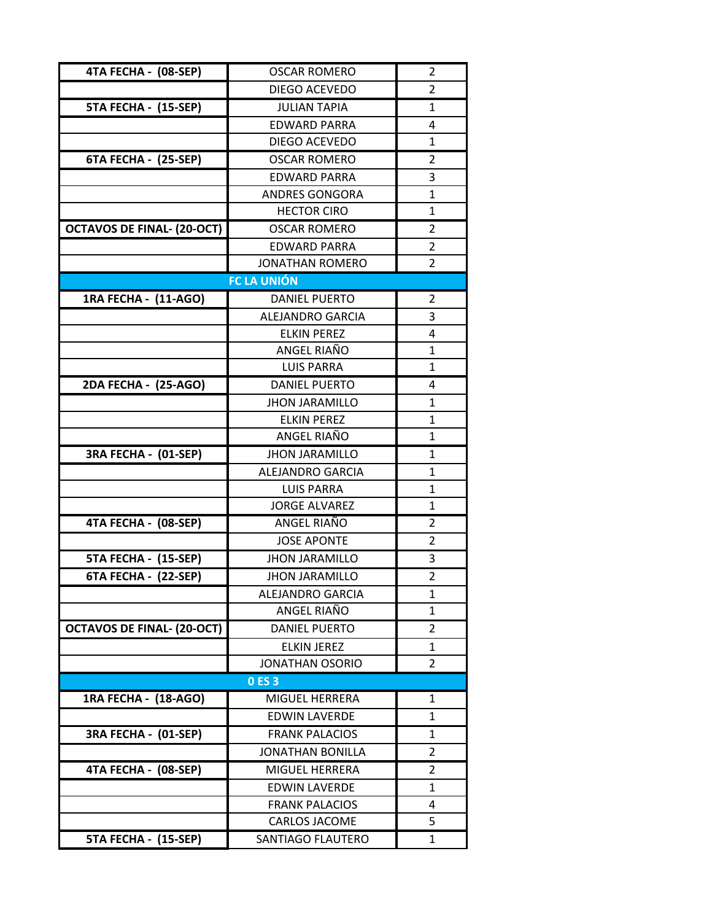| 4TA FECHA - (08-SEP)              | <b>OSCAR ROMERO</b>     | 2              |
|-----------------------------------|-------------------------|----------------|
|                                   | DIEGO ACEVEDO           | 2              |
| 5TA FECHA - (15-SEP)              | <b>JULIAN TAPIA</b>     | $\mathbf{1}$   |
|                                   | <b>EDWARD PARRA</b>     | 4              |
|                                   | DIEGO ACEVEDO           | 1              |
| 6TA FECHA - (25-SEP)              | <b>OSCAR ROMERO</b>     | $\overline{2}$ |
|                                   | <b>EDWARD PARRA</b>     | 3              |
|                                   | <b>ANDRES GONGORA</b>   | $\mathbf{1}$   |
|                                   | <b>HECTOR CIRO</b>      | $\mathbf{1}$   |
| <b>OCTAVOS DE FINAL- (20-OCT)</b> | <b>OSCAR ROMERO</b>     | 2              |
|                                   | <b>EDWARD PARRA</b>     | 2              |
|                                   | <b>JONATHAN ROMERO</b>  | $\overline{2}$ |
|                                   | <b>FC LA UNIÓN</b>      |                |
| 1RA FECHA - (11-AGO)              | <b>DANIEL PUERTO</b>    | 2              |
|                                   | ALEJANDRO GARCIA        | 3              |
|                                   | <b>ELKIN PEREZ</b>      | 4              |
|                                   | ANGEL RIAÑO             | 1              |
|                                   | <b>LUIS PARRA</b>       | $\mathbf{1}$   |
| 2DA FECHA - (25-AGO)              | <b>DANIEL PUERTO</b>    | 4              |
|                                   | <b>JHON JARAMILLO</b>   | 1              |
|                                   | <b>ELKIN PEREZ</b>      | 1              |
|                                   | ANGEL RIAÑO             | $\mathbf{1}$   |
| 3RA FECHA - (01-SEP)              | <b>JHON JARAMILLO</b>   | 1              |
|                                   | <b>ALEJANDRO GARCIA</b> | $\mathbf{1}$   |
|                                   | <b>LUIS PARRA</b>       | $\mathbf{1}$   |
|                                   | <b>JORGE ALVAREZ</b>    | 1              |
| 4TA FECHA - (08-SEP)              | ANGEL RIAÑO             | 2              |
|                                   | <b>JOSE APONTE</b>      | $\overline{2}$ |
| 5TA FECHA - (15-SEP)              | <b>JHON JARAMILLO</b>   | 3              |
| 6TA FECHA - (22-SEP)              | <b>JHON JARAMILLO</b>   | $\overline{2}$ |
|                                   | <b>ALEJANDRO GARCIA</b> | 1              |
|                                   | ANGEL RIAÑO             | $\mathbf{1}$   |
| <b>OCTAVOS DE FINAL- (20-OCT)</b> | <b>DANIEL PUERTO</b>    | 2              |
|                                   | <b>ELKIN JEREZ</b>      | 1              |
|                                   | <b>JONATHAN OSORIO</b>  | 2              |
|                                   | 0 ES 3                  |                |
| 1RA FECHA - (18-AGO)              | MIGUFL HERRERA          | 1              |
|                                   | <b>EDWIN LAVERDE</b>    | 1              |
| 3RA FECHA - (01-SEP)              | <b>FRANK PALACIOS</b>   | 1              |
|                                   | <b>JONATHAN BONILLA</b> | 2              |
| 4TA FECHA - (08-SEP)              | <b>MIGUEL HERRERA</b>   | 2              |
|                                   | <b>EDWIN LAVERDE</b>    | $\mathbf{1}$   |
|                                   | <b>FRANK PALACIOS</b>   | 4              |
|                                   | CARLOS JACOME           | 5              |
| 5TA FECHA - (15-SEP)              | SANTIAGO FLAUTERO       | 1              |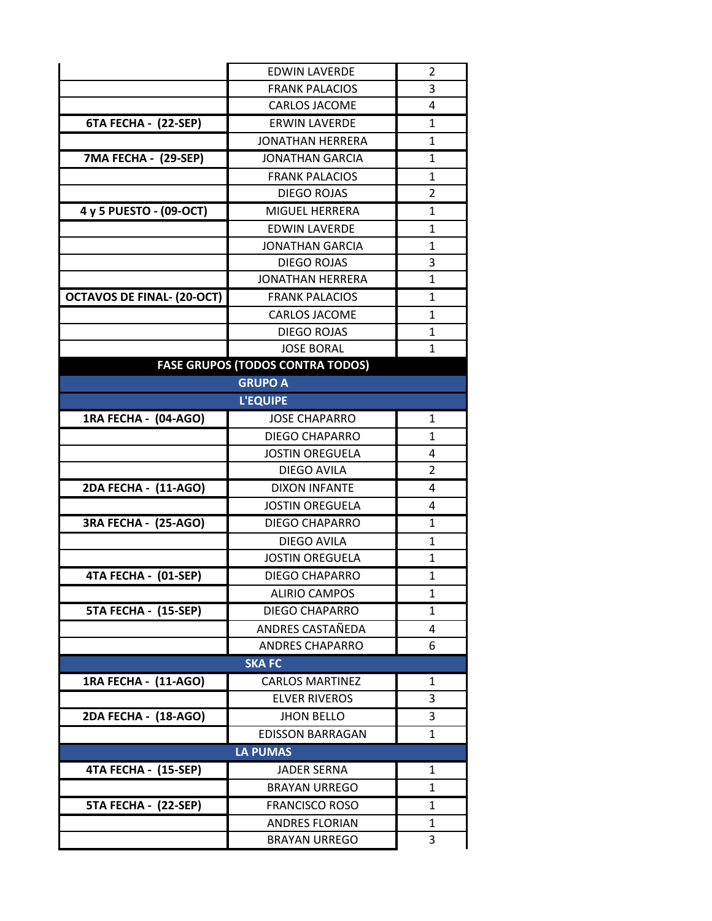|                                   | <b>EDWIN LAVERDE</b>                    | 2              |
|-----------------------------------|-----------------------------------------|----------------|
|                                   | <b>FRANK PALACIOS</b>                   | 3              |
|                                   | <b>CARLOS JACOME</b>                    | 4              |
| 6TA FECHA - (22-SEP)              | <b>ERWIN LAVERDE</b>                    | $\mathbf{1}$   |
|                                   | <b>JONATHAN HERRERA</b>                 | 1              |
| 7MA FECHA - (29-SEP)              | <b>JONATHAN GARCIA</b>                  | 1              |
|                                   | <b>FRANK PALACIOS</b>                   | $\mathbf{1}$   |
|                                   | <b>DIEGO ROJAS</b>                      | 2              |
| 4 y 5 PUESTO - (09-OCT)           | <b>MIGUEL HERRERA</b>                   | 1              |
|                                   | <b>EDWIN LAVERDE</b>                    | 1              |
|                                   | <b>JONATHAN GARCIA</b>                  | $\mathbf{1}$   |
|                                   | <b>DIEGO ROJAS</b>                      | 3              |
|                                   | <b>JONATHAN HERRERA</b>                 | $\mathbf{1}$   |
| <b>OCTAVOS DE FINAL- (20-OCT)</b> | <b>FRANK PALACIOS</b>                   | 1              |
|                                   | <b>CARLOS JACOME</b>                    | 1              |
|                                   | <b>DIEGO ROJAS</b>                      | $\mathbf{1}$   |
|                                   | <b>JOSE BORAL</b>                       | $\mathbf{1}$   |
|                                   | <b>FASE GRUPOS (TODOS CONTRA TODOS)</b> |                |
| <b>GRUPO A</b>                    |                                         |                |
|                                   | <b>L'EQUIPE</b>                         |                |
| 1RA FECHA - (04-AGO)              | <b>JOSE CHAPARRO</b>                    | 1              |
|                                   | <b>DIEGO CHAPARRO</b>                   | $\mathbf{1}$   |
|                                   | <b>JOSTIN OREGUELA</b>                  | 4              |
|                                   | DIEGO AVILA                             | $\overline{2}$ |
| 2DA FECHA - (11-AGO)              | <b>DIXON INFANTE</b>                    | 4              |
|                                   | <b>JOSTIN OREGUELA</b>                  | 4              |
| <b>3RA FECHA - (25-AGO)</b>       | <b>DIEGO CHAPARRO</b>                   | 1              |
|                                   | DIEGO AVILA                             | $\mathbf{1}$   |
|                                   | <b>JOSTIN OREGUELA</b>                  | 1              |
| 4TA FECHA - (01-SEP)              | <b>DIEGO CHAPARRO</b>                   | 1              |
|                                   | <b>ALIRIO CAMPOS</b>                    | 1              |
| 5TA FECHA - (15-SEP)              | <b>DIEGO CHAPARRO</b>                   | 1              |
|                                   | ANDRES CASTAÑEDA                        | 4              |
|                                   | <b>ANDRES CHAPARRO</b>                  | 6              |
|                                   | <b>SKA FC</b>                           |                |
| 1RA FECHA - (11-AGO)              | <b>CARLOS MARTINEZ</b>                  | 1              |
|                                   | <b>ELVER RIVEROS</b>                    | 3              |
| 2DA FECHA - (18-AGO)              | <b>JHON BELLO</b>                       | 3              |
|                                   | <b>EDISSON BARRAGAN</b>                 | 1              |
|                                   | <b>LA PUMAS</b>                         |                |
| 4TA FECHA - (15-SEP)              | JADER SERNA                             | 1              |
|                                   | <b>BRAYAN URREGO</b>                    | $\mathbf{1}$   |
| 5TA FECHA - (22-SEP)              | <b>FRANCISCO ROSO</b>                   | 1              |
|                                   | <b>ANDRES FLORIAN</b>                   | 1              |
|                                   | <b>BRAYAN URREGO</b>                    | 3              |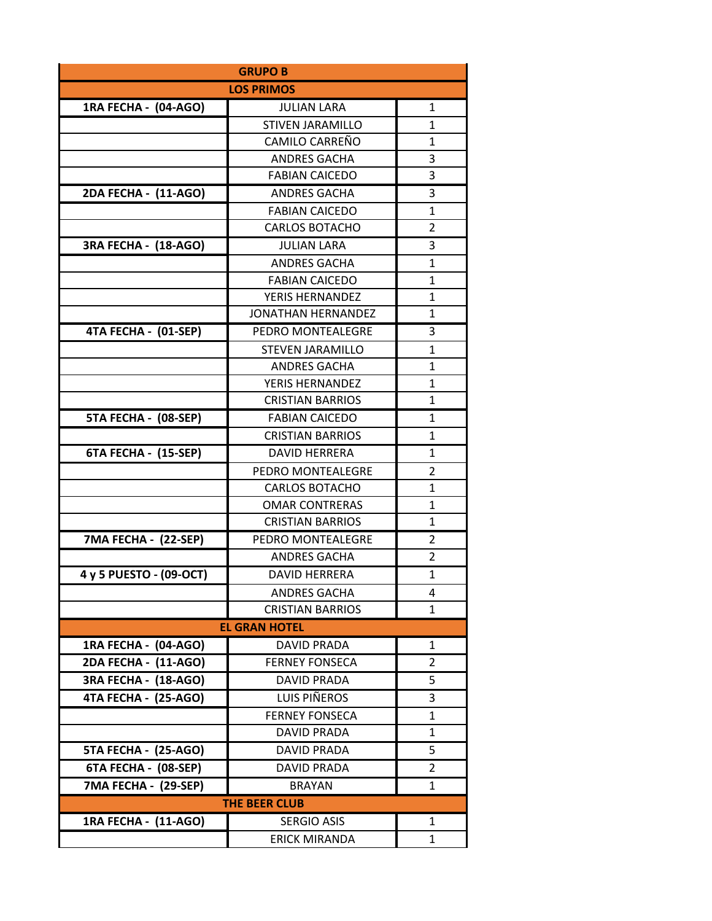| <b>GRUPO B</b>              |                           |                |
|-----------------------------|---------------------------|----------------|
|                             | <b>LOS PRIMOS</b>         |                |
| 1RA FECHA - (04-AGO)        | <b>JULIAN LARA</b>        | 1              |
|                             | <b>STIVEN JARAMILLO</b>   | $\mathbf{1}$   |
|                             | CAMILO CARREÑO            | 1              |
|                             | <b>ANDRES GACHA</b>       | 3              |
|                             | <b>FABIAN CAICEDO</b>     | 3              |
| 2DA FECHA - (11-AGO)        | <b>ANDRES GACHA</b>       | 3              |
|                             | <b>FABIAN CAICEDO</b>     | 1              |
|                             | <b>CARLOS BOTACHO</b>     | $\overline{2}$ |
| 3RA FECHA - (18-AGO)        | <b>JULIAN LARA</b>        | 3              |
|                             | <b>ANDRES GACHA</b>       | 1              |
|                             | <b>FABIAN CAICEDO</b>     | $\mathbf{1}$   |
|                             | <b>YERIS HERNANDEZ</b>    | $\mathbf{1}$   |
|                             | <b>JONATHAN HERNANDEZ</b> | $\overline{1}$ |
| 4TA FECHA - (01-SEP)        | PEDRO MONTEALEGRE         | 3              |
|                             | <b>STEVEN JARAMILLO</b>   | 1              |
|                             | <b>ANDRES GACHA</b>       | $\mathbf{1}$   |
|                             | <b>YERIS HERNANDEZ</b>    | 1              |
|                             | <b>CRISTIAN BARRIOS</b>   | $\mathbf{1}$   |
| 5TA FECHA - (08-SEP)        | <b>FABIAN CAICEDO</b>     | 1              |
|                             | <b>CRISTIAN BARRIOS</b>   | $\mathbf{1}$   |
| 6TA FECHA - (15-SEP)        | <b>DAVID HERRERA</b>      | $\mathbf{1}$   |
|                             | PEDRO MONTEALEGRE         | 2              |
|                             | <b>CARLOS BOTACHO</b>     | $\mathbf{1}$   |
|                             | <b>OMAR CONTRERAS</b>     | 1              |
|                             | <b>CRISTIAN BARRIOS</b>   | 1              |
| 7MA FECHA - (22-SEP)        | PEDRO MONTEALEGRE         | 2              |
|                             | <b>ANDRES GACHA</b>       | $\overline{2}$ |
| 4 y 5 PUESTO - (09-OCT)     | <b>DAVID HERRERA</b>      | $\mathbf{1}$   |
|                             | <b>ANDRES GACHA</b>       | 4              |
|                             | <b>CRISTIAN BARRIOS</b>   | $\mathbf{1}$   |
|                             | <b>EL GRAN HOTEL</b>      |                |
| 1RA FECHA - (04-AGO)        | <b>DAVID PRADA</b>        | 1              |
| 2DA FECHA - (11-AGO)        | <b>FERNEY FONSECA</b>     | 2              |
| <b>3RA FECHA - (18-AGO)</b> | <b>DAVID PRADA</b>        | 5              |
| 4TA FECHA - (25-AGO)        | LUIS PIÑEROS              | 3              |
|                             | <b>FERNEY FONSECA</b>     | 1              |
|                             | <b>DAVID PRADA</b>        | 1              |
| 5TA FECHA - (25-AGO)        | <b>DAVID PRADA</b>        | 5              |
| 6TA FECHA - (08-SEP)        | <b>DAVID PRADA</b>        | 2              |
| 7MA FECHA - (29-SEP)        | <b>BRAYAN</b>             | 1              |
| <b>THE BEER CLUB</b>        |                           |                |
| 1RA FECHA - (11-AGO)        | <b>SERGIO ASIS</b>        | $\mathbf{1}$   |
|                             | <b>ERICK MIRANDA</b>      | 1              |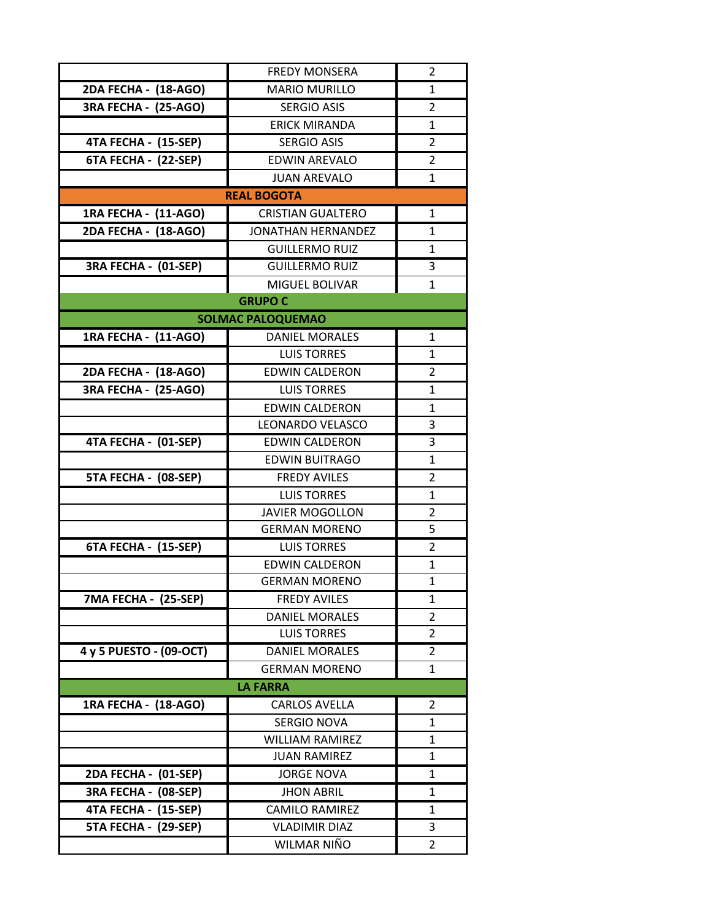|                             | <b>FREDY MONSERA</b>      | 2              |  |
|-----------------------------|---------------------------|----------------|--|
| 2DA FECHA - (18-AGO)        | <b>MARIO MURILLO</b>      | 1              |  |
| 3RA FECHA - (25-AGO)        | <b>SERGIO ASIS</b>        | $\overline{2}$ |  |
|                             | <b>ERICK MIRANDA</b>      | $\mathbf{1}$   |  |
| 4TA FECHA - (15-SEP)        | <b>SERGIO ASIS</b>        | $\overline{2}$ |  |
| 6TA FECHA - (22-SEP)        | <b>EDWIN AREVALO</b>      | $\overline{2}$ |  |
|                             | <b>JUAN AREVALO</b>       | $\mathbf{1}$   |  |
|                             | <b>REAL BOGOTA</b>        |                |  |
| 1RA FECHA - (11-AGO)        | <b>CRISTIAN GUALTERO</b>  | 1              |  |
| 2DA FECHA - (18-AGO)        | <b>JONATHAN HERNANDEZ</b> | 1              |  |
|                             | <b>GUILLERMO RUIZ</b>     | 1              |  |
| 3RA FECHA - (01-SEP)        | <b>GUILLERMO RUIZ</b>     | 3              |  |
|                             | MIGUEL BOLIVAR            | $\mathbf{1}$   |  |
|                             | <b>GRUPO C</b>            |                |  |
|                             | <b>SOLMAC PALOQUEMAO</b>  |                |  |
| 1RA FECHA - (11-AGO)        | <b>DANIEL MORALES</b>     | 1              |  |
|                             | <b>LUIS TORRES</b>        | 1              |  |
| 2DA FECHA - (18-AGO)        | <b>EDWIN CALDERON</b>     | 2              |  |
| <b>3RA FECHA - (25-AGO)</b> | <b>LUIS TORRES</b>        | $\mathbf{1}$   |  |
|                             | <b>EDWIN CALDERON</b>     | 1              |  |
|                             | <b>LEONARDO VELASCO</b>   | 3              |  |
| 4TA FECHA - (01-SEP)        | <b>EDWIN CALDERON</b>     | 3              |  |
|                             | <b>EDWIN BUITRAGO</b>     | 1              |  |
| 5TA FECHA - (08-SEP)        | <b>FREDY AVILES</b>       | 2              |  |
|                             | <b>LUIS TORRES</b>        | 1              |  |
|                             | <b>JAVIER MOGOLLON</b>    | $\overline{2}$ |  |
|                             | <b>GERMAN MORENO</b>      | 5              |  |
| 6TA FECHA - (15-SEP)        | <b>LUIS TORRES</b>        | 2              |  |
|                             | <b>EDWIN CALDERON</b>     | $\mathbf{1}$   |  |
|                             | GFRMAN MORFNO             | 1              |  |
| 7MA FECHA - (25-SEP)        | <b>FREDY AVILES</b>       | 1              |  |
|                             | <b>DANIEL MORALES</b>     | 2              |  |
|                             | <b>LUIS TORRES</b>        | 2              |  |
| 4 y 5 PUESTO - (09-OCT)     | <b>DANIEL MORALES</b>     | 2              |  |
|                             | <b>GERMAN MORENO</b>      | $\mathbf{1}$   |  |
| <b>LA FARRA</b>             |                           |                |  |
| 1RA FECHA - (18-AGO)        | <b>CARLOS AVELLA</b>      | 2              |  |
|                             | <b>SERGIO NOVA</b>        | $\mathbf{1}$   |  |
|                             | <b>WILLIAM RAMIREZ</b>    | 1              |  |
|                             | <b>JUAN RAMIREZ</b>       | 1              |  |
| 2DA FECHA - (01-SEP)        | <b>JORGE NOVA</b>         | 1              |  |
| 3RA FECHA - (08-SEP)        | <b>JHON ABRIL</b>         | 1              |  |
| 4TA FECHA - (15-SEP)        | <b>CAMILO RAMIREZ</b>     | 1              |  |
| 5TA FECHA - (29-SEP)        | <b>VLADIMIR DIAZ</b>      | 3              |  |
|                             | WILMAR NIÑO               | 2              |  |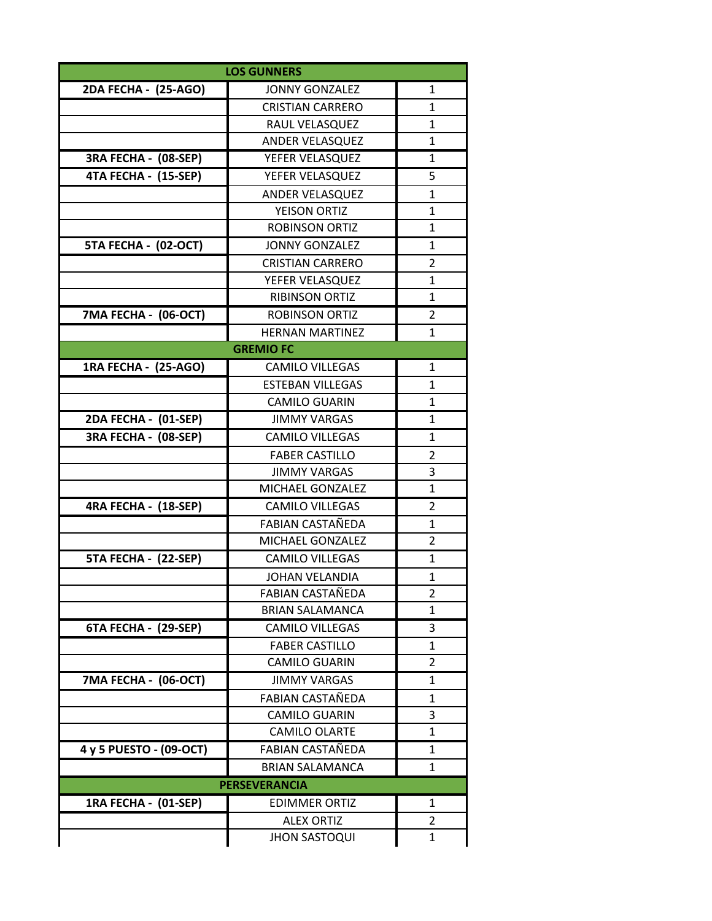| <b>LOS GUNNERS</b>      |                         |                |  |  |
|-------------------------|-------------------------|----------------|--|--|
| 2DA FECHA - (25-AGO)    | <b>JONNY GONZALEZ</b>   | 1              |  |  |
|                         | <b>CRISTIAN CARRERO</b> | $\mathbf{1}$   |  |  |
|                         | RAUL VELASQUEZ          | $\mathbf{1}$   |  |  |
|                         | ANDER VELASQUEZ         | $\mathbf{1}$   |  |  |
| 3RA FECHA - (08-SEP)    | YEFER VELASQUEZ         | 1              |  |  |
| 4TA FECHA - (15-SEP)    | YEFER VELASQUEZ         | 5              |  |  |
|                         | <b>ANDER VELASQUEZ</b>  | $\mathbf{1}$   |  |  |
|                         | YEISON ORTIZ            | 1              |  |  |
|                         | <b>ROBINSON ORTIZ</b>   | $\mathbf{1}$   |  |  |
| 5TA FECHA - (02-OCT)    | <b>JONNY GONZALEZ</b>   | 1              |  |  |
|                         | <b>CRISTIAN CARRERO</b> | $\overline{2}$ |  |  |
|                         | YEFER VELASQUEZ         | $\mathbf{1}$   |  |  |
|                         | <b>RIBINSON ORTIZ</b>   | 1              |  |  |
| 7MA FECHA - (06-OCT)    | <b>ROBINSON ORTIZ</b>   | $\overline{2}$ |  |  |
|                         | <b>HERNAN MARTINEZ</b>  | $\mathbf{1}$   |  |  |
|                         | <b>GREMIO FC</b>        |                |  |  |
| 1RA FECHA - (25-AGO)    | <b>CAMILO VILLEGAS</b>  | $\mathbf{1}$   |  |  |
|                         | <b>ESTEBAN VILLEGAS</b> | $\mathbf{1}$   |  |  |
|                         | <b>CAMILO GUARIN</b>    | 1              |  |  |
| 2DA FECHA - (01-SEP)    | <b>JIMMY VARGAS</b>     | 1              |  |  |
| 3RA FECHA - (08-SEP)    | <b>CAMILO VILLEGAS</b>  | 1              |  |  |
|                         | <b>FABER CASTILLO</b>   | $\overline{2}$ |  |  |
|                         | <b>JIMMY VARGAS</b>     | 3              |  |  |
|                         | MICHAEL GONZALEZ        | 1              |  |  |
| 4RA FECHA - (18-SEP)    | <b>CAMILO VILLEGAS</b>  | 2              |  |  |
|                         | <b>FABIAN CASTAÑEDA</b> | $\mathbf{1}$   |  |  |
|                         | MICHAEL GONZALEZ        | 2              |  |  |
| 5TA FECHA - (22-SEP)    | <b>CAMILO VILLEGAS</b>  | 1              |  |  |
|                         | <b>JOHAN VELANDIA</b>   | $\overline{1}$ |  |  |
|                         | FABIAN CASTAÑEDA        | 2              |  |  |
|                         | <b>BRIAN SALAMANCA</b>  | 1              |  |  |
| 6TA FECHA - (29-SEP)    | <b>CAMILO VILLEGAS</b>  | 3              |  |  |
|                         | <b>FABER CASTILLO</b>   | 1              |  |  |
|                         | <b>CAMILO GUARIN</b>    | 2              |  |  |
| 7MA FECHA - (06-OCT)    | <b>JIMMY VARGAS</b>     | 1              |  |  |
|                         | FABIAN CASTAÑEDA        | 1              |  |  |
|                         | <b>CAMILO GUARIN</b>    | 3              |  |  |
|                         | <b>CAMILO OLARTE</b>    | $\mathbf{1}$   |  |  |
| 4 y 5 PUESTO - (09-OCT) | FABIAN CASTAÑEDA        | 1              |  |  |
|                         | <b>BRIAN SALAMANCA</b>  | 1              |  |  |
| <b>PERSEVERANCIA</b>    |                         |                |  |  |
| 1RA FECHA - (01-SEP)    | <b>EDIMMER ORTIZ</b>    | 1              |  |  |
|                         | <b>ALEX ORTIZ</b>       | 2              |  |  |
|                         | <b>JHON SASTOQUI</b>    | $\mathbf{1}$   |  |  |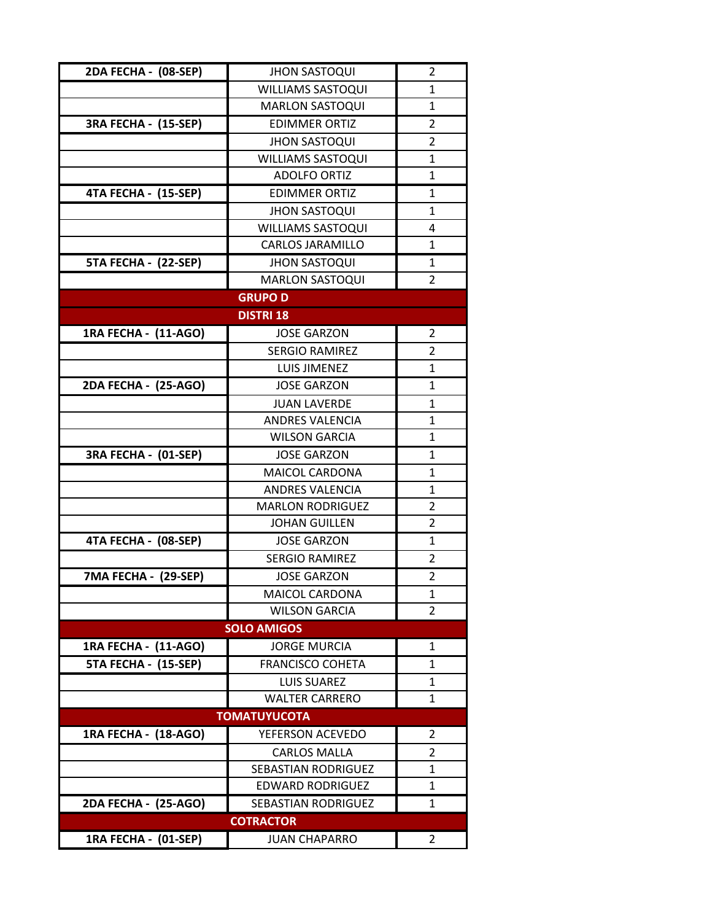| 2DA FECHA - (08-SEP) | <b>JHON SASTOQUI</b>       | 2              |  |
|----------------------|----------------------------|----------------|--|
|                      | <b>WILLIAMS SASTOQUI</b>   | $\mathbf{1}$   |  |
|                      | <b>MARLON SASTOQUI</b>     | 1              |  |
| 3RA FECHA - (15-SEP) | <b>EDIMMER ORTIZ</b>       | $\overline{2}$ |  |
|                      | <b>JHON SASTOQUI</b>       | $\overline{2}$ |  |
|                      | <b>WILLIAMS SASTOQUI</b>   | 1              |  |
|                      | <b>ADOLFO ORTIZ</b>        | $\mathbf{1}$   |  |
| 4TA FECHA - (15-SEP) | <b>EDIMMER ORTIZ</b>       | 1              |  |
|                      | <b>JHON SASTOQUI</b>       | 1              |  |
|                      | <b>WILLIAMS SASTOQUI</b>   | 4              |  |
|                      | <b>CARLOS JARAMILLO</b>    | $\mathbf{1}$   |  |
| 5TA FECHA - (22-SEP) | <b>JHON SASTOQUI</b>       | $\mathbf{1}$   |  |
|                      | <b>MARLON SASTOQUI</b>     | $\overline{2}$ |  |
|                      | <b>GRUPO D</b>             |                |  |
|                      | <b>DISTRI 18</b>           |                |  |
| 1RA FECHA - (11-AGO) | <b>JOSE GARZON</b>         | $\overline{2}$ |  |
|                      | <b>SERGIO RAMIREZ</b>      | 2              |  |
|                      | <b>LUIS JIMENEZ</b>        | $\mathbf{1}$   |  |
| 2DA FECHA - (25-AGO) | <b>JOSE GARZON</b>         | 1              |  |
|                      | <b>JUAN LAVERDE</b>        | 1              |  |
|                      | <b>ANDRES VALENCIA</b>     | 1              |  |
|                      | <b>WILSON GARCIA</b>       | 1              |  |
| 3RA FECHA - (01-SEP) | <b>JOSE GARZON</b>         | 1              |  |
|                      | <b>MAICOL CARDONA</b>      | 1              |  |
|                      | <b>ANDRES VALENCIA</b>     | 1              |  |
|                      | <b>MARLON RODRIGUEZ</b>    | 2              |  |
|                      | <b>JOHAN GUILLEN</b>       | $\overline{2}$ |  |
| 4TA FECHA - (08-SEP) | <b>JOSE GARZON</b>         | 1              |  |
|                      | <b>SERGIO RAMIREZ</b>      | 2              |  |
| 7MA FECHA - (29-SEP) | <b>JOSE GARZON</b>         | $\overline{2}$ |  |
|                      | <b>MAICOL CARDONA</b>      | 1              |  |
|                      | <b>WILSON GARCIA</b>       | $\overline{2}$ |  |
|                      | <b>SOLO AMIGOS</b>         |                |  |
| 1RA FECHA - (11-AGO) | <b>JORGE MURCIA</b>        | $\mathbf{1}$   |  |
| 5TA FECHA - (15-SEP) | <b>FRANCISCO COHETA</b>    | 1              |  |
|                      | <b>LUIS SUAREZ</b>         | 1              |  |
|                      | <b>WALTER CARRERO</b>      | 1              |  |
|                      | <b>TOMATUYUCOTA</b>        |                |  |
| 1RA FECHA - (18-AGO) | YEFERSON ACEVEDO           | 2              |  |
|                      | <b>CARLOS MALLA</b>        | 2              |  |
|                      | <b>SEBASTIAN RODRIGUEZ</b> | 1              |  |
|                      | <b>EDWARD RODRIGUEZ</b>    | $\mathbf{1}$   |  |
| 2DA FECHA - (25-AGO) | SEBASTIAN RODRIGUEZ        | 1              |  |
| <b>COTRACTOR</b>     |                            |                |  |
| 1RA FECHA - (01-SEP) | <b>JUAN CHAPARRO</b>       | 2              |  |